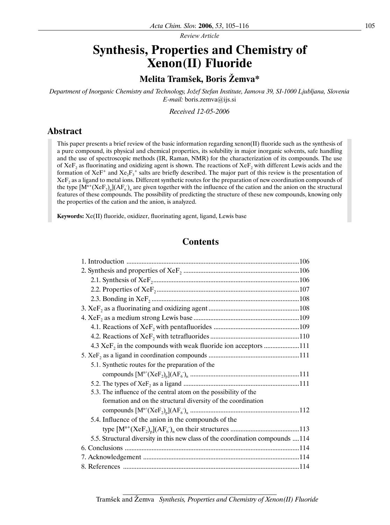*Review Article*

# **Synthesis, Properties and Chemistry of Xenon(II) Fluoride**

# **Melita Tramšek, Boris Žemva\***

*Department of Inorganic Chemistry and Technology, Jožef Stefan Institute, Jamova 39, SI-1000 Ljubljana, Slovenia E-mail:* boris.zemva@ijs.si

*Received 12-05-2006*

# **Abstract**

This paper presents a brief review of the basic information regarding xenon(II) fluoride such as the synthesis of a pure compound, its physical and chemical properties, its solubility in major inorganic solvents, safe handling and the use of spectroscopic methods (IR, Raman, NMR) for the characterization of its compounds. The use of XeF<sub>2</sub> as fluorinating and oxidizing agent is shown. The reactions of XeF<sub>2</sub> with different Lewis acids and the formation of  $XeF^+$  and  $Xe_2F_3^+$  salts are briefly described. The major part of this review is the presentation of  $XeF<sub>2</sub>$  as a ligand to metal ions. Different synthetic routes for the preparation of new coordination compounds of the type  $[M^{n+}(XeF_2)_p](AF_6)_n$  are given together with the influence of the cation and the anion on the structural features of these compounds. The possibility of predicting the structure of these new compounds, knowing only the properties of the cation and the anion, is analyzed.

**Keywords:** Xe(II) fluoride, oxidizer, fluorinating agent, ligand, Lewis base

# **Contents**

| $4.3 \text{ XeF}_2$ in the compounds with weak fluoride ion acceptors 111     |
|-------------------------------------------------------------------------------|
|                                                                               |
| 5.1. Synthetic routes for the preparation of the                              |
|                                                                               |
|                                                                               |
| 5.3. The influence of the central atom on the possibility of the              |
| formation and on the structural diversity of the coordination                 |
|                                                                               |
| 5.4. Influence of the anion in the compounds of the                           |
|                                                                               |
| 5.5. Structural diversity in this new class of the coordination compounds 114 |
|                                                                               |
|                                                                               |
|                                                                               |

Tramšek and Žemva *Synthesis, Properties and Chemistry of Xenon(II) Fluoride*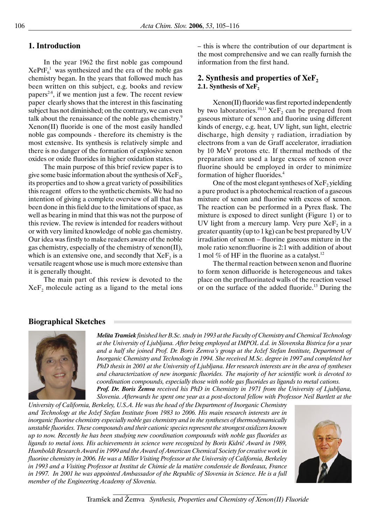# **1. Introduction**

In the year 1962 the first noble gas compound  $XePtF<sub>6</sub><sup>1</sup>$  was synthesized and the era of the noble gas chemistry began. In the years that followed much has been written on this subject, e.g. books and review papers<sup>2-8</sup>, if we mention just a few. The recent review paper clearly shows that the interest in this fascinating subject has not diminished; on the contrary, we can even talk about the renaissance of the noble gas chemistry.<sup>9</sup> Xenon(II) fluoride is one of the most easily handled noble gas compounds - therefore its chemistry is the most extensive. Its synthesis is relatively simple and there is no danger of the formation of explosive xenon oxides or oxide fluorides in higher oxidation states.

The main purpose of this brief review paper is to give some basic information about the synthesis of  $XeF_{2}$ , its properties and to show a great variety of possibilities this reagent offers to the synthetic chemists. We had no intention of giving a complete overview of all that has been done in this field due to the limitations of space, as well as bearing in mind that this was not the purpose of this review. The review is intended for readers without or with very limited knowledge of noble gas chemistry. Our idea was firstly to make readers aware of the noble gas chemistry, especially of the chemistry of xenon(II), which is an extensive one, and secondly that  $XeF<sub>2</sub>$  is a versatile reagent whose use is much more extensive than it is generally thought.

The main part of this review is devoted to the  $XeF<sub>2</sub>$  molecule acting as a ligand to the metal ions – this is where the contribution of our department is the most comprehensive and we can really furnish the information from the first hand.

# **2. Synthesis and properties of XeF**<sub>2</sub> 2.1. Synthesis of XeF<sub>2</sub>

Xenon(II) fluoride was first reported independently by two laboratories.<sup>10,11</sup> Xe $F_2$  can be prepared from gaseous mixture of xenon and fluorine using different kinds of energy, e.g. heat, UV light, sun light, electric discharge, high density  $\gamma$  radiation, irradiation by electrons from a van de Graff accelerator, irradiation by 10 MeV protons etc. If thermal methods of the preparation are used a large excess of xenon over fluorine should be employed in order to minimize formation of higher fluorides.4

One of the most elegant syntheses of  $XeF$ , yielding a pure product is a photochemical reaction of a gaseous mixture of xenon and fluorine with excess of xenon. The reaction can be performed in a Pyrex flask. The mixture is exposed to direct sunlight (Figure 1) or to UV light from a mercury lamp. Very pure  $XeF<sub>2</sub>$  in a greater quantity (up to 1 kg) can be best prepared by UV irradiation of xenon – fluorine gaseous mixture in the mole ratio xenon:fluorine is 2:1 with addition of about 1 mol  $\%$  of HF in the fluorine as a catalyst.<sup>12</sup>

The thermal reaction between xenon and fluorine to form xenon difluoride is heterogeneous and takes place on the prefluorinated walls of the reaction vessel or on the surface of the added fluoride.<sup>13</sup> During the

# **Biographical Sketches**



*Melita Tramšek finished her B.Sc. study in 1993 at the Faculty of Chemistry and Chemical Technology at the University of Ljubljana. After being employed at IMPOL d.d. in Slovenska Bistrica for a year and a half she joined Prof. Dr. Boris Žemva's group at the Jožef Stefan Institute, Department of Inorganic Chemistry and Technology in 1994. She received M.Sc. degree in 1997 and completed her PhD thesis in 2001 at the University of Ljubljana. Her research interests are in the area of syntheses and characterization of new inorganic fluorides. The majority of her scientific work is devoted to coordination compounds, especially those with noble gas fluorides as ligands to metal cations. Prof. Dr. Boris Žemva received his PhD in Chemistry in 1971 from the University of Ljubljana,* 

*Slovenia. Afterwards he spent one year as a post-doctoral fellow with Professor Neil Bartlett at the* 

*University of California, Berkeley, U.S.A. He was the head of the Department of Inorganic Chemistry and Technology at the Jožef Stefan Institute from 1983 to 2006. His main research interests are in inorganic fluorine chemistry especially noble gas chemistry and in the syntheses of thermodynamically unstable fluorides. These compounds and their cationic species represent the strongest oxidizers known up to now. Recently he has been studying new coordination compounds with noble gas fluorides as ligands to metal ions. His achievements in science were recognized by Boris Kidrič Award in 1989, Humboldt Research Award in 1999 and the Award of American Chemical Society for creative work in fluorine chemistry in 2006. He was a Miller Visiting Professor at the University of California, Berkeley in 1993 and a Visiting Professor at Institut de Chimie de la matière condensée de Bordeaux, France* in 1997. In 2001 he was appointed Ambassador of the Republic of Slovenia in Science. He is a full *member of the Engineering Academy of Slovenia.* 

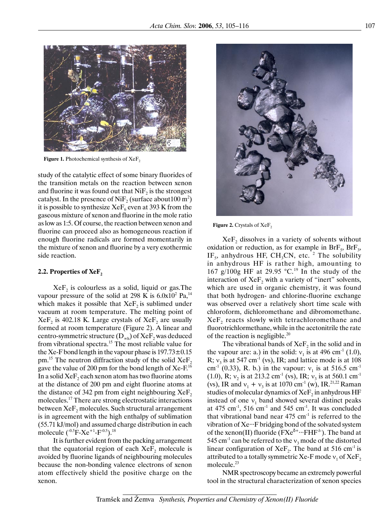

**Figure 1.** Photochemical synthesis of XeF<sub>2</sub>

study of the catalytic effect of some binary fluorides of the transition metals on the reaction between xenon and fluorine it was found out that  $N$ i $F<sub>2</sub>$  is the strongest catalyst. In the presence of Ni $F_2$  (surface about 100 m<sup>2</sup>) it is possible to synthesize  $XeF_6$  even at 393 K from the gaseous mixture of xenon and fluorine in the mole ratio as low as 1:5. Of course, the reaction between xenon and fluorine can proceed also as homogeneous reaction if enough fluorine radicals are formed momentarily in the mixture of xenon and fluorine by a very exothermic side reaction.

#### **2.2. Properties of XeF<sub>2</sub>**

 $XeF<sub>2</sub>$  is colourless as a solid, liquid or gas. The vapour pressure of the solid at 298 K is  $6.0x10^2$  Pa,<sup>14</sup> which makes it possible that  $XeF_2$  is sublimed under vacuum at room temperature. The melting point of  $XeF<sub>2</sub>$  is 402.18 K. Large crystals of  $XeF<sub>2</sub>$  are usually formed at room temperature (Figure 2). A linear and centro-symmetric structure ( $D_{\infty h}$ ) of Xe $F_2$  was deduced from vibrational spectra.15 The most reliable value for the Xe-F bond length in the vapour phase is  $197.73 \pm 0.15$ pm.<sup>15</sup> The neutron diffraction study of the solid  $XeF_2$ gave the value of 200 pm for the bond length of Xe-F.<sup>16</sup> In a solid  $XeF_2$  each xenon atom has two fluorine atoms at the distance of 200 pm and eight fluorine atoms at the distance of 342 pm from eight neighbouring  $XeF_2$ molecules.17 There are strong electrostatic interactions between  $XeF<sub>2</sub>$  molecules. Such structural arrangement is in agreement with the high enthalpy of sublimation (55.71 kJ/mol) and assumed charge distribution in each molecule  $(^{-0.5}F-Xe^{+1}-F^{-0.5})$ .<sup>18</sup>

It is further evident from the packing arrangement that the equatorial region of each  $XeF<sub>2</sub>$  molecule is avoided by fluorine ligands of neighbouring molecules because the non-bonding valence electrons of xenon atom effectively shield the positive charge on the xenon.



**Figure 2.** Crystals of XeF<sub>2</sub>

 $XeF$ <sub>2</sub> dissolves in a variety of solvents without oxidation or reduction, as for example in  $BrF_5$ ,  $BrF_3$ , IF<sub>5</sub>, anhydrous HF, CH<sub>3</sub>CN, etc.<sup>2</sup> The solubility in anhydrous HF is rather high, amounting to 167 g/100g HF at 29.95  $°C.^{19}$  In the study of the interaction of  $XeF$ <sub>2</sub> with a variety of "inert" solvents, which are used in organic chemistry, it was found that both hydrogen- and chlorine-fluorine exchange was observed over a relatively short time scale with chloroform, dichloromethane and dibromomethane.  $XeF<sub>2</sub>$  reacts slowly with tetrachloromethane and fluorotrichlormethane, while in the acetonitrile the rate of the reaction is negligible.20

The vibrational bands of  $XeF_2$  in the solid and in the vapour are: a.) in the solid:  $v_1$  is at 496 cm<sup>-1</sup> (1.0), R;  $v_3$  is at 547 cm<sup>-1</sup> (vs), IR; and lattice mode is at 108 cm<sup>-1</sup> (0.33), R. b.) in the vapour:  $v_1$  is at 516.5 cm<sup>-1</sup> (1.0), R;  $v_2$  is at 213.2 cm<sup>-1</sup> (vs), IR;  $v_3$  is at 560.1 cm<sup>-1</sup> (vs), IR and  $v_1 + v_3$  is at 1070 cm<sup>-1</sup> (w), IR.<sup>21,22</sup> Raman studies of molecular dynamics of  $XeF<sub>2</sub>$  in anhydrous HF instead of one  $v_1$  band showed several distinct peaks at 475 cm<sup>-1</sup>, 516 cm<sup>-1</sup> and 545 cm<sup>-1</sup>. It was concluded that vibrational band near  $475 \text{ cm}^{-1}$  is referred to the vibration of Xe∙∙∙F bridging bond of the solvated system of the xenon(II) fluoride ( $\text{FXe}^{\delta^+}$ <sup>+</sup> −−FHF<sup> $\delta$ </sup>). The band at 545 cm<sup>-1</sup> can be referred to the  $v_3$  mode of the distorted linear configuration of  $XeF_2$ . The band at 516 cm<sup>-1</sup> is attributed to a totally symmetric Xe-F mode  $v_1$  of XeF<sub>2</sub> molecule.<sup>23</sup>

NMR spectroscopy became an extremely powerful tool in the structural characterization of xenon species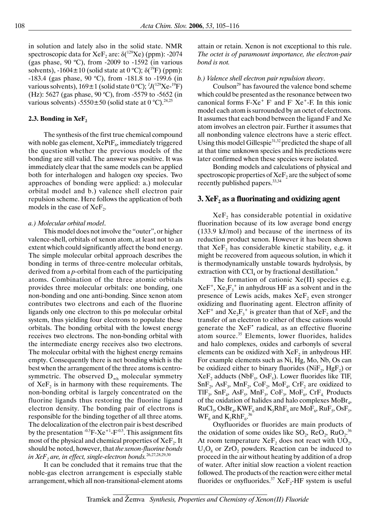in solution and lately also in the solid state. NMR spectroscopic data for Xe $F_2$  are:  $\delta(^{129}Xe)$  (ppm): -2074 (gas phase,  $90 °C$ ), from -2009 to -1592 (in various solvents),  $-1604 \pm 10$  (solid state at 0 °C);  $\delta(^{19}F)$  (ppm): -183.4 (gas phase, 90 ºC), from -181.8 to -199.6 (in various solvents),  $169 \pm 1$  (solid state 0 °C);  $^1J(^{129}\text{Xe-}^{19}\text{F})$ (Hz): 5627 (gas phase, 90 ºC), from -5579 to -5652 (in various solvents) -5550 $\pm$ 50 (solid state at 0 °C).<sup>24,25</sup>

#### **2.3. Bonding in XeF,**

The synthesis of the first true chemical compound with noble gas element,  $XePtF_6$ , immediately triggered the question whether the previous models of the bonding are still valid. The answer was positive. It was immediately clear that the same models can be applied both for interhalogen and halogen oxy species. Two approaches of bonding were applied: a.) molecular orbital model and b.) valence shell electron pair repulsion scheme. Here follows the application of both models in the case of  $XeF<sub>2</sub>$ .

#### *a.) Molecular orbital model*.

This model does not involve the "outer", or higher valence-shell, orbitals of xenon atom, at least not to an extent which could significantly affect the bond energy. The simple molecular orbital approach describes the bonding in terms of three-centre molecular orbitals, derived from a *p-*orbital from each of the participating atoms. Combination of the three atomic orbitals provides three molecular orbitals: one bonding, one non-bonding and one anti-bonding. Since xenon atom contributes two electrons and each of the fluorine ligands only one electron to this pσ molecular orbital system, thus yielding four electrons to populate these orbitals. The bonding orbital with the lowest energy receives two electrons. The non-bonding orbital with the intermediate energy receives also two electrons. The molecular orbital with the highest energy remains empty. Consequently there is net bonding which is the best when the arrangement of the three atoms is centrosymmetric. The observed  $D_{\omega h}$  molecular symmetry of  $XeF<sub>2</sub>$  is in harmony with these requirements. The non-bonding orbital is largely concentrated on the fluorine ligands thus restoring the fluorine ligand electron density. The bonding pair of electrons is responsible for the binding together of all three atoms. The delocalization of the electron pair is best described by the presentation  $-0.5$ F-Xe<sup>+1</sup>-F<sup>-0.5</sup>. This assignment fits most of the physical and chemical properties of  $XeF<sub>2</sub>$ . It should be noted, however, that *the xenon-fluorine bonds*  in XeF<sub>2</sub> are, in effect, single-electron bonds.<sup>26,27,28,29,30</sup>

It can be concluded that it remains true that the noble-gas electron arrangement is especially stable arrangement, which all non-transitional-element atoms attain or retain. Xenon is not exceptional to this rule. *The octet is of paramount importance, the electron-pair bond is not.*

#### *b.) Valence shell electron pair repulsion theory*.

Coulson<sup>29</sup> has favoured the valence bond scheme which could be presented as the resonance between two canonical forms  $F-Xe^+ F$  and  $F Xe^+ F$ . In this ionic model each atom is surrounded by an octet of electrons. It assumes that each bond between the ligand F and Xe atom involves an electron pair. Further it assumes that all nonbonding valence electrons have a steric effect. Using this model Gillespie<sup>31,32</sup> predicted the shape of all at that time unknown species and his predictions were later confirmed when these species were isolated.

Bonding models and calculations of physical and spectroscopic properties of  $XeF<sub>2</sub>$  are the subject of some recently published papers.33,34

### **3. XeF<sub>2</sub>** as a fluorinating and oxidizing agent

 $XeF<sub>2</sub>$  has considerable potential in oxidative fluorination because of its low average bond energy (133.9 kJ/mol) and because of the inertness of its reduction product xenon. However it has been shown that  $XeF<sub>2</sub>$  has considerable kinetic stability, e.g. it might be recovered from aqueous solution, in which it is thermodynamically unstable towards hydrolysis, by extraction with  $\text{CCI}_4$  or by fractional destillation.<sup>4</sup>

The formation of cationic Xe(II) species e.g.  $XeF^+$ ,  $Xe_2F_3^+$  in anhydrous HF as a solvent and in the presence of Lewis acids, makes  $XeF<sub>2</sub>$  even stronger oxidizing and fluorinating agent. Electron affinity of  $XeF^+$  and  $Xe_2F_3^+$  is greater than that of  $XeF_2$  and the transfer of an electron to either of these cations would generate the XeF<sup>•</sup> radical, as an effective fluorine atom source.35 Elements, lower fluorides, halides and halo complexes, oxides and carbonyls of several elements can be oxidized with  $XeF_2$  in anhydrous HF. For example elements such as Ni, Hg, Mo, Nb, Os can be oxidized either to binary fluorides (NiF<sub>2</sub>, HgF<sub>2</sub>) or  $XeF_2$  adducts (NbF<sub>5</sub>, OsF<sub>5</sub>). Lower fluorides like TlF,  $SnF_2$ , AsF<sub>3</sub>, MnF<sub>2</sub>, CoF<sub>2</sub>, MoF<sub>4</sub>, CrF<sub>2</sub> are oxidized to  $TIF_3$ ,  $SnF_4$ ,  $AsF_5$ ,  $MnF_3$ ,  $CoF_3$ ,  $MoF_6$ ,  $CrF_4$ . Products of the oxidation of halides and halo complexes  $MoBr<sub>4</sub>$ ,  $RuCl<sub>3</sub>, OsBr<sub>4</sub>, KWF<sub>6</sub>$  and  $K<sub>3</sub>RhF<sub>6</sub>$  are MoF<sub>6</sub>, RuF<sub>5</sub>, OsF<sub>5</sub>,  $WF_6$  and  $K_2RhF_6$ <sup>36</sup>

Oxyfluorides or fluorides are main products of the oxidation of some oxides like  $SO_2$ , Re $O_2$ , Ru $O_2$ .<sup>36</sup> At room temperature  $XeF_2$  does not react with  $UO_2$ ,  $U_3O_8$  or  $ZrO_2$  powders. Reaction can be induced to proceed in the air without heating by addition of a drop of water. After initial slow reaction a violent reaction followed. The products of the reaction were either metal fluorides or oxyfluorides.<sup>37</sup> XeF<sub>2</sub>-HF system is useful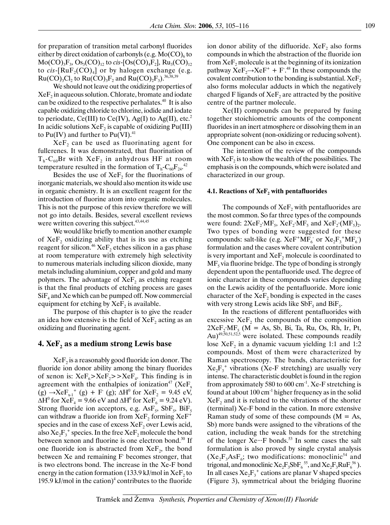for preparation of transition metal carbonyl fluorides either by direct oxidation of carbonyls (e.g.  $Mo(CO)<sub>6</sub>$  to  $Mo(CO)_{3}F_{3}, Os_{3}(CO)_{12}$  to *cis*-[Os(CO)<sub>4</sub>F<sub>2</sub>], Ru<sub>3</sub>(CO)<sub>12</sub> to  $cis$ -[RuF<sub>2</sub>(CO)<sub>4</sub>] or by halogen exchange (e.g.  $Ru(CO)_{3}Cl_{2}$  to  $Ru(CO)_{3}F_{2}$  and  $Ru(CO)_{2}F_{3})$ .<sup>36,38,39</sup>

We should not leave out the oxidizing properties of  $XeF<sub>2</sub>$  in aqueous solution. Chlorate, bromate and iodate can be oxidized to the respective perhalates.40 It is also capable oxidizing chloride to chlorine, iodide and iodate to periodate, Ce(III) to Ce(IV), Ag(I) to Ag(II), etc.<sup>2</sup> In acidic solutions  $XeF_2$  is capable of oxidizing Pu(III) to Pu(IV) and further to Pu(VI).<sup>41</sup>

XeF, can be used as fluorinating agent for fullerenes. It was demonstrated, that fluorination of  $T<sub>h</sub>$ -C<sub>60</sub>Br with XeF<sub>2</sub> in anhydrous HF at room temperature resulted in the formation of  $T_h$ -C<sub>60</sub>F<sub>24</sub>.<sup>42</sup>

Besides the use of  $XeF<sub>2</sub>$  for the fluorinations of inorganic materials, we should also mention its wide use in organic chemistry. It is an excellent reagent for the introduction of fluorine atom into organic molecules. This is not the purpose of this review therefore we will not go into details. Besides, several excellent reviews were written covering this subject.<sup>43,44,45</sup>

We would like briefly to mention another example of  $XeF$ , oxidizing ability that is its use as etching reagent for silicon.<sup>46</sup> XeF<sub>2</sub> etches silicon in a gas phase at room temperature with extremely high selectivity to numerous materials including silicon dioxide, many metals including aluminium, copper and gold and many polymers. The advantage of  $XeF_2$  as etching reagent is that the final products of etching process are gases  $SiF<sub>4</sub>$  and Xe which can be pumped off. Now commercial equipment for etching by  $XeF<sub>2</sub>$  is available.

The purpose of this chapter is to give the reader an idea how extensive is the field of  $XeF<sub>2</sub>$  acting as an oxidizing and fluorinating agent.

### **4. XeF<sub>2</sub> as a medium strong Lewis base**

 $XeF<sub>2</sub>$  is a reasonably good fluoride ion donor. The fluoride ion donor ability among the binary fluorides of xenon is:  $XeF_6 > XeF_2 > XeF_4$ . This finding is in agreement with the enthalpies of ionization<sup>47</sup> (XeF<sub>x</sub> (g) →XeF<sub>x-1</sub><sup>+</sup> (g) + F<sup>-</sup> (g);  $\Delta H^0$  for XeF<sub>2</sub> = 9.45 eV,  $\Delta H^0$  for XeF<sub>4</sub> = 9.66 eV and  $\Delta H^0$  for XeF<sub>6</sub> = 9.24 eV). Strong fluoride ion acceptors, e.g.  $\text{AsF}_5$ ,  $\text{SbF}_5$ ,  $\text{BiF}_5$ can withdraw a fluoride ion from  $XeF_2$  forming  $XeF^+$ species and in the case of excess  $XeF_2$  over Lewis acid, also  $Xe_2F_3^+$  species. In the free  $Xe_2$  molecule the bond between xenon and fluorine is one electron bond.<sup>30</sup> If one fluoride ion is abstracted from  $XeF_2$ , the bond between Xe and remaining F becomes stronger, that is two electrons bond. The increase in the Xe-F bond energy in the cation formation (133.9 kJ/mol in  $XeF_2$  to 195.9 kJ/mol in the cation)<sup>4</sup> contributes to the fluoride ion donor ability of the difluoride.  $XeF_2$  also forms compounds in which the abstraction of the fluoride ion from  $XeF_2$  molecule is at the beginning of its ionization pathway  $XeF_2 \rightarrow XeF^+ + F^{48}$  In these compounds the covalent contribution to the bonding is substantial.  $XeF_2$ also forms molecular adducts in which the negatively charged F ligands of  $XeF$ , are attracted by the positive centre of the partner molecule.

Xe(II) compounds can be prepared by fusing together stoichiometric amounts of the component fluorides in an inert atmosphere or dissolving them in an appropriate solvent (non-oxidizing or reducing solvent). One component can be also in excess.

The intention of the review of the compounds with  $XeF<sub>2</sub>$  is to show the wealth of the possibilities. The emphasis is on the compounds, which were isolated and characterized in our group.

### **4.1. Reactions of XeF<sub>2</sub> with pentafluorides**

The compounds of  $XeF<sub>2</sub>$  with pentafluorides are the most common. So far three types of the compounds were found:  $2XeF_2$ ∙MF<sub>5</sub>,  $XeF_2$ ⋅MF<sub>5</sub> and  $XeF_2$ ⋅(MF<sub>5</sub>)<sub>2</sub>. Two types of bonding were suggested for these compounds: salt-like (e.g.  $XeF^+MF_6$  or  $Xe_2F_3^+MF_6$ ) formulation and the cases where covalent contribution is very important and  $XeF_2$  molecule is coordinated to  $MF<sub>5</sub>$  via fluorine bridge. The type of bonding is strongly dependent upon the pentafluoride used. The degree of ionic character in these compounds varies depending on the Lewis acidity of the pentafluoride. More ionic character of the  $XeF<sub>2</sub>$  bonding is expected in the cases with very strong Lewis acids like  $SbF_5$  and  $BiF_5$ .

In the reactions of different pentafluorides with excessive  $XeF<sub>2</sub>$  the compounds of the composition  $2XeF_2$ ∙MF<sub>5</sub> (M = As, Sb, Bi, Ta, Ru, Os, Rh, Ir, Pt,  $\text{Au}$ <sup>49,50,51,52,5</sup> were isolated. These compounds readily lose  $XeF_2$  in a dynamic vacuum yielding 1:1 and 1:2 compounds. Most of them were characterized by Raman spectroscopy. The bands, characteristic for  $Xe_2F_3^+$  vibrations (Xe-F stretching) are usually very intense. The characteristic doublet is found in the region from approximately 580 to 600 cm<sup>-1</sup>. Xe-F stretching is found at about  $100 \text{ cm}^{-1}$  higher frequency as in the solid  $XeF<sub>2</sub>$  and it is related to the vibrations of the shorter (terminal) Xe-F bond in the cation. In more extensive Raman study of some of these compounds  $(M = As,$ Sb) more bands were assigned to the vibrations of the cation, including the weak bands for the stretching of the longer Xe∙∙∙F bonds.53 In some cases the salt formulation is also proved by single crystal analysis  $(Xe_2F_3AsF_6;$  two modifications: monoclinic<sup>54</sup> and trigonal, and monoclinic  $Xe_2F_3SbF_6^{55}$ , and  $Xe_2F_3RuF_6^{56}$ . In all cases  $Xe_2F_3^+$  cations are planar V shaped species (Figure 3), symmetrical about the bridging fluorine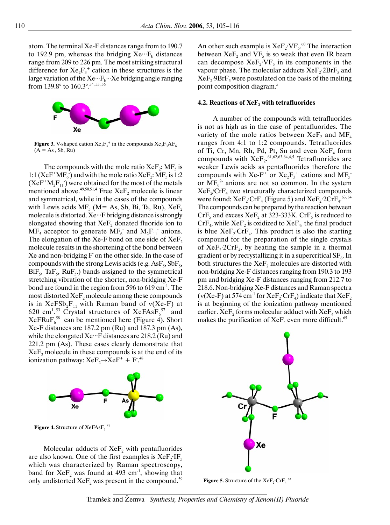atom. The terminal Xe-F distances range from to 190.7 to 192.9 pm, whereas the bridging  $Xe^{\ldots}F_b$  distances range from 209 to 226 pm. The most striking structural difference for  $Xe_2F_3^+$  cation in these structures is the large variation of the Xe…F<sub>b</sub><sup>∙</sup></sup>×e bridging angle ranging from 139.8° to 160.3°.<sup>54, 55, 56</sup>



**Figure 3.** V-shaped cation  $Xe_2F_3^+$  in the compounds  $Xe_2F_3AF_6$  $(A = As, Sb, Ru)$ 

The compounds with the mole ratio  $XeF_2$ : MF<sub>5</sub> is 1:1 (XeF<sup>+</sup>MF<sub>6</sub>) and with the mole ratio XeF<sub>2</sub>: MF<sub>5</sub> is 1:2  $(XeF^+M_2F_{11})$  were obtained for the most of the metals mentioned above.<sup>49,50,51,4</sup> Free XeF<sub>2</sub> molecule is linear and symmetrical, while in the cases of the compounds with Lewis acids  $MF_5$  (M= As, Sb, Bi, Ta, Ru),  $XeF_2$ molecule is distorted. Xe∙∙∙F bridging distance is strongly elongated showing that  $XeF$ , donated fluoride ion to  $MF<sub>5</sub>$  acceptor to generate  $MF<sub>6</sub>$  and  $M<sub>2</sub>F<sub>11</sub>$  anions. The elongation of the Xe-F bond on one side of  $XeF_2$ molecule results in the shortening of the bond between Xe and non-bridging  $F$  on the other side. In the case of compounds with the strong Lewis acids (e.g.  $\text{AsF}_5$ ,  $\text{SbF}_5$ ,  $BiF_5$ , Ta $F_5$ , Ru $F_5$ .) bands assigned to the symmetrical stretching vibration of the shorter, non-bridging Xe-F bond are found in the region from 596 to 619 cm<sup>-1</sup>. The most distorted  $XeF$ <sub>2</sub> molecule among these compounds is in  $XeFSb_2F_{11}$  with Raman band of  $v(Xe-F)$  at 620 cm<sup>1,53</sup> Crystal structures of  $XeFAsF<sub>6</sub><sup>57</sup>$  and  $XeFRuF<sub>6</sub><sup>58</sup>$  can be mentioned here (Figure 4). Short Xe-F distances are 187.2 pm (Ru) and 187.3 pm (As), while the elongated Xe∙∙∙F distances are 218.2 (Ru) and 221.2 pm (As). These cases clearly demonstrate that  $XeF<sub>2</sub>$  molecule in these compounds is at the end of its ionization pathway:  $XeF_2 \rightarrow XeF^+ + F^{.48}$ 



**Figure 4.** Structure of  $XeFAsF_6$ <sup>57</sup>

Molecular adducts of  $XeF_2$  with pentafluorides are also known. One of the first examples is  $XeF_2$ <sup>∙</sup>IF<sub>5</sub> which was characterized by Raman spectroscopy, band for  $XeF_2$  was found at 493 cm<sup>-1</sup>, showing that only undistorted  $XeF_2$  was present in the compound.<sup>59</sup> An other such example is  $XeF_2\cdot VF_5$ .<sup>60</sup> The interaction between  $XeF_2$  and  $VF_5$  is so weak that even IR beam can decompose  $XeF_2$ ∙VF<sub>5</sub> in its components in the vapour phase. The molecular adducts XeF<sub>2</sub>∙2BrF<sub>5</sub> and XeF<sub>2</sub>⋅9BrF<sub>5</sub> were postulated on the basis of the melting point composition diagram.5

#### **4.2. Reactions of XeF<sub>2</sub> with tetrafluorides**

A number of the compounds with tetrafluorides is not as high as in the case of pentafluorides. The variety of the mole ratios between  $XeF_2$  and  $MF_4$ ranges from 4:1 to 1:2 compounds. Tetrafluorides of Ti, Cr, Mn, Rh, Pd, Pt, Sn and even  $XeF_4$  form compounds with  $XeF_2$ .<sup>61,62,63,64,4,5</sup> Tetrafluorides are weaker Lewis acids as pentafluorides therefore the compounds with Xe-F<sup>+</sup> or  $Xe_2F_3^+$  cations and  $MF_5$ or  $MF_6^2$  anions are not so common. In the system  $XeF_2/CrF_4$  two structurally characterized compounds were found:  $\text{XeF}_{2}$ ∙Cr $\text{F}_{4}$  (Figure 5) and  $\text{XeF}_{2}$ •2Cr $\text{F}_{4}$ <sup>63,64</sup> The compounds can be prepared by the reaction between  $CrF_5$  and excess  $XeF_2$  at 323-333K.  $CrF_5$  is reduced to  $CrF<sub>4</sub>$ , while  $XeF<sub>2</sub>$  is oxidized to  $XeF<sub>4</sub>$ , the final product is blue  $XeF_2$ ∙Cr $F_4$ . This product is also the starting compound for the preparation of the single crystals of  $XeF_2$ ∙2CrF<sub>4</sub>, by heating the sample in a thermal gradient or by recrystallizing it in a supercritical  $SF_6$ . In both structures the  $XeF$ , molecules are distorted with non-bridging Xe-F distances ranging from 190.3 to 193 pm and bridging Xe-F distances ranging from 212.7 to 218.6. Non-bridging Xe-F distances and Raman spectra ( $v(Xe-F)$  at 574 cm<sup>-1</sup> for XeF<sub>2</sub>⋅CrF<sub>4</sub>) indicate that XeF<sub>2</sub> is at beginning of the ionization pathway mentioned earlier. XeF<sub>2</sub> forms molecular adduct with  $XeF_4$  which makes the purification of  $XeF_4$  even more difficult.<sup>65</sup>



**Figure 5.** Structure of the  $XeF_2$ •Cr $F_4$ <sup>63</sup>

Tramšek and Žemva *Synthesis, Properties and Chemistry of Xenon(II) Fluoride*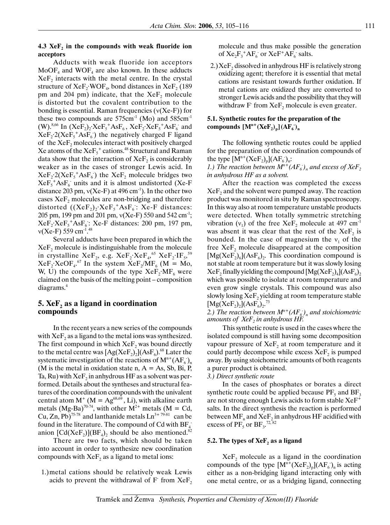### **4.3 XeF<sub>2</sub>** in the compounds with weak fluoride ion **acceptors**

Adducts with weak fluoride ion acceptors  $MoOF<sub>4</sub>$  and  $WOF<sub>4</sub>$  are also known. In these adducts  $XeF<sub>2</sub>$  interacts with the metal centre. In the crystal structure of  $XeF_2$ ∙WOF<sub>4</sub>, bond distances in  $XeF_2$  (189 pm and 204 pm) indicate, that the  $XeF_2$  molecule is distorted but the covalent contribution to the bonding is essential. Raman frequencies  $(v(Xe-F))$  for these two compounds are  $575 \text{cm}^{-1}$  (Mo) and  $585 \text{cm}^{-1}$ (W).<sup>8,66</sup> In  $(XeF_2)_2$ ∙Xe $F_5$ <sup>+</sup>As $F_6$ , Xe $F_2$ ⋅Xe $F_5$ <sup>+</sup>As $F_6$ <sup>-</sup> and  $XeF_2$ <sup>2</sup>( $XeF_5$ <sup>+</sup>As $F_6$ ) the negatively charged F ligand of the XeF<sub>2</sub> molecules interact with positively charged Xe atoms of the  $XeF_5^+$  cations.<sup>48</sup> Structural and Raman data show that the interaction of  $XeF<sub>2</sub>$  is considerably weaker as in the cases of stronger Lewis acid. In  $XeF_2$ <sup>2</sup>( $XeF_5$ <sup>+</sup>As $F_6$ ) the  $XeF_2$  molecule bridges two  $XeF<sub>5</sub><sup>+</sup> AsF<sub>6</sub> units and it is almost undistorted (Xe-F)$ distance 203 pm,  $v(Xe-F)$  at 496 cm<sup>-1</sup>). In the other two cases XeF<sub>2</sub> molecules are non-bridging and therefore distorted  $((XeF<sub>2</sub>)<sub>2</sub>·XeF<sub>5</sub><sup>+</sup>AsF<sub>6</sub>: Xe-F distances:$ 205 pm, 199 pm and 201 pm,  $v(Xe-F)$  550 and 542 cm<sup>-1</sup>;  $XeF_2$ • $XeF_5$ <sup>+</sup> $AsF_6$ :  $XeF$  distances: 200 pm, 197 pm,  $v(Xe-F)$  559 cm<sup>-1</sup>.<sup>48</sup>

Several adducts have been prepared in which the  $XeF<sub>2</sub>$  molecule is indistinguishable from the molecule in crystalline XeF<sub>2</sub>, e.g. XeF<sub>2</sub>⋅XeF<sub>4</sub>,<sup>65</sup> XeF<sub>2</sub>⋅IF<sub>5</sub>,<sup>59</sup>  $XeF_2$ •XeOF<sub>4</sub>.<sup>67</sup> In the system  $XeF_2/MF_6$  (M = Mo, W, U) the compounds of the type  $XeF_2$ ∙MF<sub>6</sub> were claimed on the basis of the melting point – composition diagrams.4

# **5. XeF<sub>2</sub>** as a ligand in coordination **compounds**

In the recent years a new series of the compounds with  $XeF<sub>2</sub>$  as a ligand to the metal ions was synthesized. The first compound in which  $XeF_2$  was bound directly to the metal centre was  $[Ag(XeF_2)_2](AsF_6)$ .<sup>68</sup> Later the systematic investigation of the reactions of  $M^{n+}(AF_6)_{n}$ (M is the metal in oxidation state  $n, A = As$ , Sb, Bi, P, Ta, Ru) with  $XeF_2$  in anhydrous HF as a solvent was performed. Details about the syntheses and structural features of the coordination compounds with the univalent central atom  $M^+$  ( $M = Ag^{68,69}$ , Li), with alkaline earth metals (Mg-Ba)<sup>70-74</sup>, with other  $M^{2+}$  metals (M = Cd, Cu, Zn,  $Pb)$ <sup>75-78</sup> and lanthanide metals  $Ln^{3+79.81}$  can be found in the literature. The compound of Cd with  $BF_4$ anion  $[Cd(XeF<sub>2</sub>)](BF<sub>4</sub>)<sub>2</sub>$  should be also mentioned.<sup>82</sup>

There are two facts, which should be taken into account in order to synthesize new coordination compounds with  $XeF_2$  as a ligand to metal ions:

1.) metal cations should be relatively weak Lewis acids to prevent the withdrawal of  $F$  from  $XeF_2$  molecule and thus make possible the generation of  $Xe_2F_3^+AF_6^-$  or  $XeF^+AF_6^-$  salts.

2.)  $XeF$ , dissolved in anhydrous HF is relatively strong oxidizing agent; therefore it is essential that metal cations are resistant towards further oxidation. If metal cations are oxidized they are converted to stronger Lewis acids and the possibility that they will withdraw  $F$  from  $XeF_2$  molecule is even greater.

# **5.1. Synthetic routes for the preparation of the**  compounds  $[M^{n+}(XeF_2)_p](AF_6)$ <sup>n</sup>

The following synthetic routes could be applied for the preparation of the coordination compounds of the type  $[M^{n+}(XeF_2)_p](AF_6)_{n}$ : *1.) The reaction between*  $M^{n+}(AF_{\delta})$ <sub>n</sub> and excess of  $XeF_2$ 

*in anhydrous HF as a solvent.*  After the reaction was completed the excess  $XeF<sub>2</sub>$  and the solvent were pumped away. The reaction product was monitored in situ by Raman spectroscopy. In this way also at room temperature unstable products were detected. When totally symmetric stretching vibration  $(v_1)$  of the free XeF<sub>2</sub> molecule at 497 cm<sup>-1</sup> was absent it was clear that the rest of the  $XeF_2$  is bounded. In the case of magnesium the  $v_1$  of the free  $XeF<sub>2</sub>$  molecule disappeared at the composition  $[Mg(XeF<sub>2)</sub><sub>6</sub>](AsF<sub>6</sub>)$ . This coordination compound is not stable at room temperature but it was slowly losing  $XeF_2$  finally yielding the compound  $[Mg(XeF_2)_4](AsF_6)_2$ which was possible to isolate at room temperature and even grow single crystals. This compound was also slowly losing  $XeF_2$  yielding at room temperature stable  $[Mg(XeF<sub>2</sub>)<sub>2</sub>](AsF<sub>6</sub>)<sub>2</sub>.<sup>73</sup>$ 

2.) The reaction between  $M^{n+}(AF_{\delta})_n$  and stoichiometric *amounts of*  $XeF_2$  *in anhydrous HF.* 

This synthetic route is used in the cases where the isolated compound is still having some decomposition vapour pressure of  $XeF<sub>2</sub>$  at room temperature and it could partly decompose while excess  $XeF_2$  is pumped away. By using stoichometric amounts of both reagents a purer product is obtained.

# *3.) Direct synthetic route*

In the cases of phosphates or borates a direct synthetic route could be applied because  $PF_5$  and  $BF_3$ are not strong enough Lewis acids to form stable XeF+ salts. In the direct synthesis the reaction is performed between  $MF_n$  and  $XeF_2$  in anhydrous HF acidified with excess of  $PF_5$  or  $BF_3$ <sup>72,82</sup>

# **5.2. The types of XeF<sub>2</sub> as a ligand**

 $XeF<sub>2</sub>$  molecule as a ligand in the coordination compounds of the type  $[M^{n+}(XeF_2)_p](AF_6)$ <sub>n</sub> is acting either as a non-bridging ligand interacting only with one metal centre, or as a bridging ligand, connecting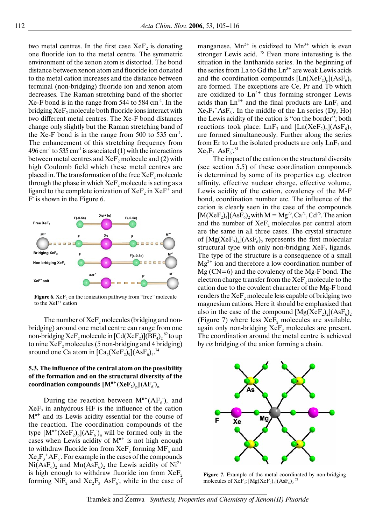two metal centres. In the first case  $XeF<sub>2</sub>$  is donating one fluoride ion to the metal centre. The symmetric environment of the xenon atom is distorted. The bond distance between xenon atom and fluoride ion donated to the metal cation increases and the distance between terminal (non-bridging) fluoride ion and xenon atom decreases. The Raman stretching band of the shorter  $Xe-F$  bond is in the range from 544 to 584 cm<sup>-1</sup>. In the bridging  $XeF<sub>2</sub>$  molecule both fluoride ions interact with two different metal centres. The Xe-F bond distances change only slightly but the Raman stretching band of the Xe-F bond is in the range from  $500$  to  $535$  cm<sup>-1</sup>. The enhancement of this stretching frequency from 496 cm<sup>-1</sup> to 535 cm<sup>-1</sup> is associated (1) with the interactions between metal centres and  $XeF$ , molecule and (2) with high Coulomb field which these metal centres are placed in. The transformation of the free  $XeF<sub>2</sub>$  molecule through the phase in which  $XeF$ , molecule is acting as a ligand to the complete ionization of  $XeF_2$  in  $XeF^+$  and F is shown in the Figure 6.



**Figure 6.** XeF<sub>2</sub> on the ionization pathway from "free" molecule to the XeF<sup>+</sup> cation

The number of  $XeF$ , molecules (bridging and nonbridging) around one metal centre can range from one non-bridging  $XeF_2$  molecule in  $[Cd(XeF_2)](BF_4)_2^{\,82}$  to up to nine  $XeF_2$  molecules (5 non-bridging and 4 bridging) around one Ca atom in  $\text{[Ca}_2(\text{XeF}_2)_9\text{]}(\text{AsF}_6)_4$ .<sup>74</sup>

# **5.3. The influence of the central atom on the possibility of the formation and on the structural diversity of the**   $\textbf{coordinates} \; [\mathbf{M}^\text{n+}(\mathbf{X}\mathbf{e}\mathbf{F}_2)_\text{p}](\mathbf{A}\mathbf{F}_6)_\text{n}$

During the reaction between  $M^{n+}(AF_6)$ <sub>n</sub> and  $XeF<sub>2</sub>$  in anhydrous HF is the influence of the cation  $M<sup>n+</sup>$  and its Lewis acidity essential for the course of the reaction. The coordination compounds of the type  $[M^{n+}(XeF_2)_p](AF_6)$ <sub>n</sub> will be formed only in the cases when Lewis acidity of  $M<sup>n+</sup>$  is not high enough to withdraw fluoride ion from  $XeF_2$  forming  $MF_n$  and  $Xe_2F_3^+AF_6$ . For example in the cases of the compounds  $Ni(AsF_6)_2$  and  $Mn(AsF_6)_2$  the Lewis acidity of  $Ni^{2+}$ is high enough to withdraw fluoride ion from  $XeF_2$ forming  $NiF_2$  and  $Xe_2F_3^+AsF_6$ , while in the case of

manganese,  $Mn^{2+}$  is oxidized to  $Mn^{3+}$  which is even stronger Lewis acid.  $75$  Even more interesting is the situation in the lanthanide series. In the beginning of the series from La to Gd the  $Ln<sup>3+</sup>$  are weak Lewis acids and the coordination compounds  $[Ln(XeF<sub>2</sub>)<sub>n</sub>](AsF<sub>6</sub>)<sub>3</sub>$ are formed. The exceptions are Ce, Pr and Tb which are oxidized to  $Ln^{4+}$  thus forming stronger Lewis acids than  $Ln^{3+}$  and the final products are  $LnF_4$  and  $Xe_2F_3^*AsF_6$ . In the middle of the Ln series (Dy, Ho) the Lewis acidity of the cation is "on the border"; both reactions took place:  $LnF_3$  and  $[Ln(XeF_2)_p](AsF_6)$ are formed simultaneously. Further along the series from Er to Lu the isolated products are only  $\text{Ln}F_3$  and  $Xe_2F_3^+AsF_6^{-.81}$ 

The impact of the cation on the structural diversity (see section 5.5) of these coordination compounds is determined by some of its properties e.g. electron affinity, effective nuclear charge, effective volume, Lewis acidity of the cation, covalency of the M-F bond, coordination number etc. The influence of the cation is clearly seen in the case of the compounds  $[M(XeF<sub>2</sub>)<sub>4</sub>](AsF<sub>6</sub>)<sub>2</sub>$  with  $M = Mg<sup>73</sup>, Ca<sup>71</sup>, Cd<sup>76</sup>.$  The anion and the number of  $XeF_2$  molecules per central atom are the same in all three cases. The crystal structure of  $[Mg(XeF<sub>2</sub>)<sub>4</sub>](AsF<sub>6</sub>)$ , represents the first molecular structural type with only non-bridging  $XeF<sub>2</sub>$  ligands. The type of the structure is a consequence of a small  $Mg^{2+}$  ion and therefore a low coordination number of Mg (CN=6) and the covalency of the Mg-F bond. The electron charge transfer from the  $XeF$ <sub>2</sub> molecule to the cation due to the covalent character of the Mg-F bond renders the  $XeF_2$  molecule less capable of bridging two magnesium cations. Here it should be emphasized that also in the case of the compound  $[Mg(XeF<sub>2</sub>)<sub>2</sub>](AsF<sub>6</sub>)<sub>2</sub>$ (Figure 7) where less  $XeF_2$  molecules are available, again only non-bridging  $XeF_2$  molecules are present. The coordination around the metal centre is achieved by *cis* bridging of the anion forming a chain.



**Figure 7.** Example of the metal coordinated by non-bridging molecules of XeF<sub>2</sub>;  $[Mg(XeF<sub>2</sub>)<sub>2</sub>](AsF<sub>6</sub>)<sub>2</sub>$ <sup>73</sup>

Tramšek and Žemva *Synthesis, Properties and Chemistry of Xenon(II) Fluoride*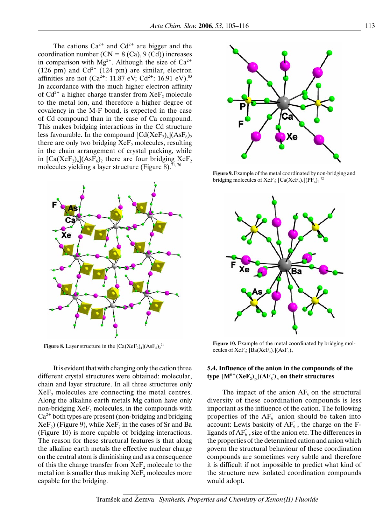The cations  $Ca^{2+}$  and  $Cd^{2+}$  are bigger and the coordination number  $(CN = 8 (Ca), 9 (Cd)$  increases in comparison with  $Mg^{2+}$ . Although the size of Ca<sup>2+</sup> (126 pm) and  $Cd^{2+}$  (124 pm) are similar, electron affinities are not  $(Ca^{2+}$ : 11.87 eV;  $Cd^{2+}$ : 16.91 eV).<sup>83</sup> In accordance with the much higher electron affinity of  $Cd^{2+}$  a higher charge transfer from XeF<sub>2</sub> molecule to the metal ion, and therefore a higher degree of covalency in the M-F bond, is expected in the case of Cd compound than in the case of Ca compound. This makes bridging interactions in the Cd structure less favourable. In the compound  $[Cd(XeF<sub>2</sub>)<sub>4</sub>](AsF<sub>6</sub>)$ <sub>2</sub> there are only two bridging  $XeF_2$  molecules, resulting in the chain arrangement of crystal packing, while in  $\left[\text{Ca}(X \text{e} \text{F}_2)_4\right](\text{As} \text{F}_6)_2$  there are four bridging  $X \text{e} \text{F}_2$ molecules yielding a layer structure (Figure 8).<sup>71,76</sup>



**Figure 8.** Layer structure in the  $\text{[Ca(XeF<sub>2</sub>)<sub>4</sub>](AsF<sub>6</sub>)<sub>2</sub><sup>71</sup>}$ 

It is evident that with changing only the cation three different crystal structures were obtained: molecular, chain and layer structure. In all three structures only  $XeF<sub>2</sub>$  molecules are connecting the metal centres. Along the alkaline earth metals Mg cation have only non-bridging  $XeF<sub>2</sub>$  molecules, in the compounds with  $Ca<sup>2+</sup>$  both types are present (non-bridging and bridging  $XeF<sub>2</sub>$ ) (Figure 9), while  $XeF<sub>2</sub>$  in the cases of Sr and Ba (Figure 10) is more capable of bridging interactions. The reason for these structural features is that along the alkaline earth metals the effective nuclear charge on the central atom is diminishing and as a consequence of this the charge transfer from  $XeF<sub>2</sub>$  molecule to the metal ion is smaller thus making  $XeF_2$  molecules more capable for the bridging.



**Figure 9.** Example of the metal coordinated by non-bridging and bridging molecules of XeF<sub>2</sub>;  $[Ca(XeF<sub>2</sub>)<sub>5</sub>](PF<sub>6</sub>)<sub>2</sub>$ <sup>72</sup>



**Figure 10.** Example of the metal coordinated by bridging molecules of  $XeF_2$ ;  $[Ba(XeF_2)_5](AsF_6)_2$ 

# **5.4. Influence of the anion in the compounds of the**   $\tt type [M<sup>n+</sup>(XeF<sub>2</sub>)<sub>p</sub>](AF<sub>6</sub>)<sub>n</sub>$  on their structures

The impact of the anion  $AF<sub>6</sub>$  on the structural diversity of these coordination compounds is less important as the influence of the cation. The following properties of the  $AF_6$  anion should be taken into account: Lewis basicity of  $AF_6$ , the charge on the Fligands of  $AF<sub>6</sub>$ , size of the anion etc. The differences in the properties of the determined cation and anion which govern the structural behaviour of these coordination compounds are sometimes very subtle and therefore it is difficult if not impossible to predict what kind of the structure new isolated coordination compounds would adopt.

Tramšek and Žemva *Synthesis, Properties and Chemistry of Xenon(II) Fluoride*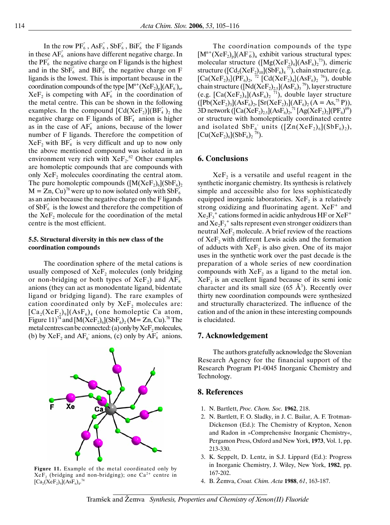In the row  $\overline{PF}_6$ ,  $\overline{ASF}_6$ ,  $\overline{SbF}_6$ ,  $\overline{BiF}_6$  the F ligands in these  $AF<sub>6</sub>$  anions have different negative charge. In the  $PF_6^-$  the negative charge on F ligands is the highest and in the SbF<sub>6</sub> and BiF<sub>6</sub> the negative charge on F ligands is the lowest. This is important because in the coordination compounds of the type  $[M^{n+}(XeF_2)_p](AF_6)_n$ ,  $XeF<sub>2</sub>$  is competing with  $AF<sub>6</sub>$  in the coordination of the metal centre. This can be shown in the following examples. In the compound  $\left[Cd(XeF_2)\right](BF_4)$ , the negative charge on F ligands of  $BF_4$  anion is higher as in the case of  $AF_6^-$  anions, because of the lower number of F ligands. Therefore the competition of  $XeF_2$  with  $BF_4$  is very difficult and up to now only the above mentioned compound was isolated in an environment very rich with  $XeF_2$ <sup>82</sup> Other examples are homoleptic compounds that are compounds with only XeF<sub>2</sub> molecules coordinating the central atom. The pure homoleptic compounds  $([M(XeF<sub>2</sub>)<sub>6</sub>](SbF<sub>6</sub>)$ <sub>2</sub>  $M = Zn$ , Cu)<sup>78</sup> were up to now isolated only with SbF<sub>6</sub> as an anion because the negative charge on the F ligands of  $SbF_6$  is the lowest and therefore the competition of the  $XeF<sub>2</sub>$  molecule for the coordination of the metal centre is the most efficient.

### **5.5. Structural diversity in this new class of the coordination compounds**

The coordination sphere of the metal cations is usually composed of  $XeF<sub>2</sub>$  molecules (only bridging or non-bridging or both types of  $XeF_2$ ) and  $AF_6$ anions (they can act as monodentate ligand, bidentate ligand or bridging ligand). The rare examples of cation coordinated only by  $XeF$ , molecules are:  $[Ca_2(XeF_2)_9](AsF_6)_4$  (one homoleptic Ca atom, Figure 11)<sup>74</sup> and  $[M(XeF_2)_6](SbF_6)_2$  (M = Zn, Cu).<sup>78</sup> The metal centres can be connected: (a) only by  $XeF_2$  molecules, (b) by  $XeF_2$  and  $AF_6$  anions, (c) only by  $AF_6$  anions.



**Figure 11.** Example of the metal coordinated only by  $XeF<sub>2</sub>$  (bridging and non-bridging); one Ca<sup>2+</sup> centre in  $[\text{Ca}_{2}(\text{XeF}_{2})_{9}](\text{AsF}_{6})_{4}$ .<sup>74</sup>

The coordination compounds of the type  $[M^{n+}(XeF_2)_n](AF_6)$ , exhibit various structural types: molecular structure  $([Mg(XeF<sub>2</sub>)<sub>4</sub>](AsF<sub>6</sub>)<sub>2</sub><sup>73</sup>),$  dimeric structure ( $\left[\text{Cd}_{2}\left(\text{XeF}_{2}\right)_{10}\right]\left(\text{SbF}_{6}\right)_{4}^{77}$ ), chain structure (e.g.  $[Ca(XeF<sub>2</sub>)<sub>5</sub>](PF<sub>6</sub>)<sub>2</sub>$ , <sup>72</sup>  $[Cd(XeF<sub>2</sub>)<sub>4</sub>](AsF<sub>6</sub>)<sub>2</sub>$ <sup>76</sup>), double chain structure ( $[Nd(XeF<sub>2</sub>)<sub>2,5</sub>](AsF<sub>6</sub>)<sub>3</sub><sup>79</sup>)$ , layer structure (e.g.  $\text{[Ca(XeF<sub>2</sub>)<sub>4</sub>](AsF<sub>6</sub>)<sub>2</sub>}^{71}$ ), double layer structure  $([Pb(XeF<sub>2</sub>)<sub>3</sub>](AsF<sub>6</sub>)<sub>2</sub>, [Sr(XeF<sub>2</sub>)<sub>3</sub>](AF<sub>6</sub>)<sub>2</sub> (A = As<sup>75</sup>, P),$ 3D network ( $\left[\text{Ca}(X \text{e} \text{F}_2)_{2.5}\right](\text{As} \text{F}_6)_{2}^{71} \left[\text{Ag}(X \text{e} \text{F}_2)_{2}\right](\text{P} \text{F}_6)^{69}$ ) or structure with homoleptically coordinated centre and isolated  $SbF_6$  units  $([Zn(XeF_2)_6](SbF_6)_2)$ ,  $[Cu(XeF<sub>2</sub>)<sub>6</sub>](SbF<sub>6</sub>)<sub>2</sub>$ <sup>78</sup>).

### **6. Conclusions**

 $XeF<sub>2</sub>$  is a versatile and useful reagent in the synthetic inorganic chemistry. Its synthesis is relatively simple and accessible also for less sophisticatedly equipped inorganic laboratories.  $XeF<sub>2</sub>$  is a relatively strong oxidizing and fluorinating agent.  $XeF^+$  and  $Xe_2F_3^+$  cations formed in acidic anhydrous HF or  $Xe_5^+$ and  $Xe_2F_3^+$  salts represent even stronger oxidizers than neutral  $XeF<sub>2</sub>$  molecule. A brief review of the reactions of  $XeF$ <sub>2</sub> with different Lewis acids and the formation of adducts with  $XeF<sub>2</sub>$  is also given. One of its major uses in the synthetic work over the past decade is the preparation of a whole series of new coordination compounds with  $XeF<sub>2</sub>$  as a ligand to the metal ion.  $XeF<sub>2</sub>$  is an excellent ligand because of its semi ionic character and its small size  $(65 \text{ Å}^3)$ . Recently over thirty new coordination compounds were synthesized and structurally characterized. The influence of the cation and of the anion in these interesting compounds is elucidated.

### **7. Acknowledgement**

The authors gratefully acknowledge the Slovenian Research Agency for the financial support of the Research Program P1-0045 Inorganic Chemistry and Technology.

### **8. References**

- 1. N. Bartlett, *Proc. Chem. Soc.* **1962**, 218.
- 2. N. Bartlett, F. O. Sladky, in J. C. Bailar, A. F. Trotman-Dickenson (Ed.): The Chemistry of Krypton, Xenon and Radon in »Comprehensive Inorganic Chemistry«, Pergamon Press, Oxford and New York, **1973**, Vol. 1, pp. 213-330.
- 3. K. Seppelt, D. Lentz, in S.J. Lippard (Ed.): Progress in Inorganic Chemistry, J. Wiley, New York, **1982**, pp. 167-202.
- 4. B. Žemva, *Croat. Chim. Acta* **1988**, *61*, 163-187.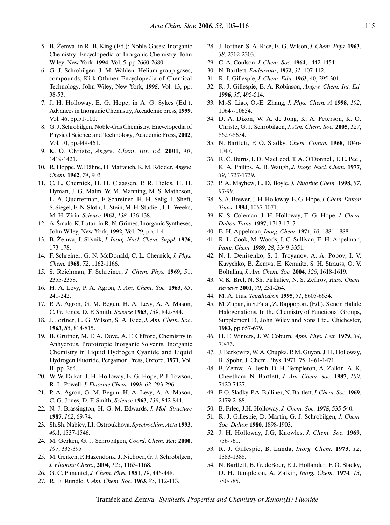- 5. B. Žemva, in R. B. King (Ed.): Noble Gases: Inorganic Chemistry, Encyclopedia of Inorganic Chemistry, John Wiley, New York, **1994**, Vol. 5, pp.2660-2680.
- 6. G. J. Schrobilgen, J. M. Wahlen, Helium-group gases, compounds, Kirk-Othmer Encyclopedia of Chemical Technology, John Wiley, New York, **1995**, Vol. 13, pp. 38-53.
- 7. J. H. Holloway, E. G. Hope, in A. G. Sykes (Ed.), Advances in Inorganic Chemistry, Accademic press, **1999**, Vol. 46, pp.51-100.
- 8. G. J. Schrobilgen, Noble-Gas Chemistry, Encyclopedia of Physical Science and Technology, Academic Press, **2002**, Vol. 10, pp.449-461.
- 9. K. O. Christe, *Angew. Chem. Int. Ed.* **2001**, *40*, 1419-1421.
- 10. R. Hoppe, W. Dähne, H. Mattauch, K. M. Rödder,*Angew. Chem.* **1962**, *74*, 903
- 11. C. L. Chernick, H. H. Claassen, P. R. Fields, H. H. Hyman, J. G. Malm, W. M. Manning, M. S. Matheson, L. A. Quarterman, F. Schreiner, H. H. Selig, I. Sheft, S. Siegel, E. N. Sloth, L. Stein, M. H. Studier, J. L. Weeks, M. H. Zirin, *Science* **1962**, *138,* 136-138.
- 12. A. Šmalc, K. Lutar, in R. N. Grimes, Inorganic Syntheses, John Wiley, New York, **1992**, Vol. 29, pp. 1-4
- 13. B. Žemva, J. Slivnik, *J. Inorg. Nucl. Chem. Suppl.* **1976**, 173-178.
- 14. F. Schreiner, G. N. McDonald, C. L. Chernick, *J. Phys. Chem.* **1968**, *72*, 1162-1166.
- 15. S. Reichman, F. Schreiner, *J. Chem. Phys.* **1969**, 51, 2355-2358.
- 16. H. A. Levy, P. A. Agron, *J. Am. Chem. Soc.* **1963**, *85*, 241-242.
- 17. P. A. Agron, G. M. Begun, H. A. Levy, A. A. Mason, C. G. Jones, D. F. Smith, *Science* **1963**, *139*, 842-844.
- 18. J. Jortner, E. G. Wilson, S. A. Rice, *J. Am. Chem. Soc*. **1963**, *85*, 814-815.
- 19. B. Grütner, M. F. A. Dove, A. F. Clifford, Chemistry in Anhydrous, Prototropic Inorganic Solvents, Inorganic Chemistry in Liquid Hydrogen Cyanide and Liquid Hydrogen Fluoride, Pergamon Press, Oxford, **1971**, Vol. II, pp. 264.
- 20. W. W. Dukat, J. H. Holloway, E. G. Hope, P. J. Towson, R. L. Powell, *J. Fluorine Chem.* **1993**, *62*, 293-296.
- 21. P. A. Agron, G. M. Begun, H. A. Levy, A. A. Mason, C. G. Jones, D. F. Smith, *Science* **1963**, *139*, 842-844.
- 22. N. J. Brassington, H. G. M. Edwards, *J. Mol. Structure* **1987**, *162*, 69-74.
- 23. Sh.Sh. Nabiev, I.I. Ostroukhova, *Spectrochim. Acta* **1993**, *49A*, 1537-1546.
- 24. M. Gerken, G. J. Schrobilgen, *Coord. Chem. Rev.* **2000**, *197*, 335-395
- 25. M. Gerken, P. Hazendonk, J. Nieboer, G. J. Schrobilgen, *J. Fluorine Chem.*, **2004**, *125*, 1163-1168.
- 26. G. C. Pimentel, *J. Chem. Phys.* **1951**, *19*, 446-448.
- 27. R. E. Rundle, *J. Am. Chem. Soc.* **1963**, *85*, 112-113.
- 28. J. Jortner, S. A. Rice, E. G. Wilson, *J. Chem. Phys.* **1963**, *38*, 2302-2303.
- 29. C. A. Coulson, *J. Chem. Soc.* **1964**, 1442-1454.
- 30. N. Bartlett, *Endeavour*, **1972**, *31*, 107-112.
- 31. R. J. Gillespie, *J. Chem. Edu.* **1963**, 40, 295-301.
- 32. R. J. Gillespie, E. A. Robinson, *Angew. Chem. Int. Ed.*  **1996**, *35*, 495-514.
- 33. M.-S. Liao, Q.-E. Zhang, *J. Phys. Chem. A* **1998**, *102*, 10647-10654.
- 34. D. A. Dixon, W. A. de Jong, K. A. Peterson, K. O. Christe, G. J. Schrobilgen, *J. Am. Chem. Soc.* **2005**, *127*, 8627-8634.
- 35. N. Bartlett, F. O. Sladky, *Chem. Comm.* **1968**, 1046- 1047.
- 36. R. C. Burns, I. D. MacLeod, T. A. O'Donnell, T. E. Peel, K. A. Philips, A. B. Waugh, *J. Inorg. Nucl. Chem.* **1977**, *39*, 1737-1739.
- 37. P. A. Mayhew, L. D. Boyle, *J. Fluorine Chem.* **1998**, *87*, 97-99.
- 38. S. A. Brewer, J. H. Holloway, E. G. Hope, *J. Chem. Dalton Trans.* **1994**, 1067-1071.
- 39. K. S. Coleman, J. H. Holloway, E. G. Hope, *J. Chem. Dalton Trans.* **1997**, 1713-1717.
- 40. E. H. Appelman, *Inorg. Chem.* **1971**, *10*, 1881-1888.
- 41. R. L. Cook, M. Woods, J. C. Sullivan, E. H. Appelman, *Inorg. Chem.* **1989**, *28*, 3349-3351.
- 42. N. I. Denisenko, S. I. Troyanov, A. A. Popov, I. V. Kuvychko, B. Žemva, E. Kemnitz, S. H. Strauss, O. V. Boltalina, *J. Am. Chem. Soc.* **2004**, *126*, 1618-1619.
- 43. V. K. Brel, N. Sh. Pirkuliev, N. S. Zefirov, *Russ. Chem. Reviews* **2001**, *70*, 231-264.
- 44. M. A. Tius, *Tetrahedron* **1995**, *51*, 6605-6634.
- 45. M. Zupan, in S.Patai, Z. Rappoport. (Ed.), Xenon Halide Halogenations, In the Chemistry of Functional Groups, Supplement D, John Wiley and Sons Ltd., Chichester, **1983,** pp 657-679.
- 46. H. F. Winters, J. W. Coburn, *Appl. Phys. Lett.* **1979**, *34*, 70-73.
- 47. J. Berkowitz, W. A. Chupka, P. M. Guyon, J. H. Holloway, R. Spohr, J. Chem. Phys. 1971, 75, 1461-1471.
- 48. B. Žemva, A. Jesih, D. H. Templeton, A. Zalkin, A. K. Cheetham, N. Bartlett, *J. Am. Chem. Soc.* **1987**, *109*, 7420-7427.
- 49. F. O. Sladky, P.A. Bulliner, N. Bartlett, *J. Chem. Soc.* **1969**, 2179-2188.
- 50. B. Frlec, J.H. Holloway, *J. Chem. Soc.* **1975**, 535-540.
- 51. R. J. Gillespie, D. Martin, G. J. Schrobilgen, *J. Chem. Soc. Dalton* **1980**, 1898-1903.
- 52. J. H. Holloway, J.G, Knowles, *J. Chem. Soc.* **1969**, 756-761.
- 53. R. J. Gillespie, B. Landa, *Inorg. Chem.* **1973**, *12*, 1383-1388.
- 54. N. Bartlett, B. G. deBoer, F. J. Hollander, F. O. Sladky, D. H. Templeton, A. Zalkin, *Inorg. Chem.* **1974**, *13*, 780-785.